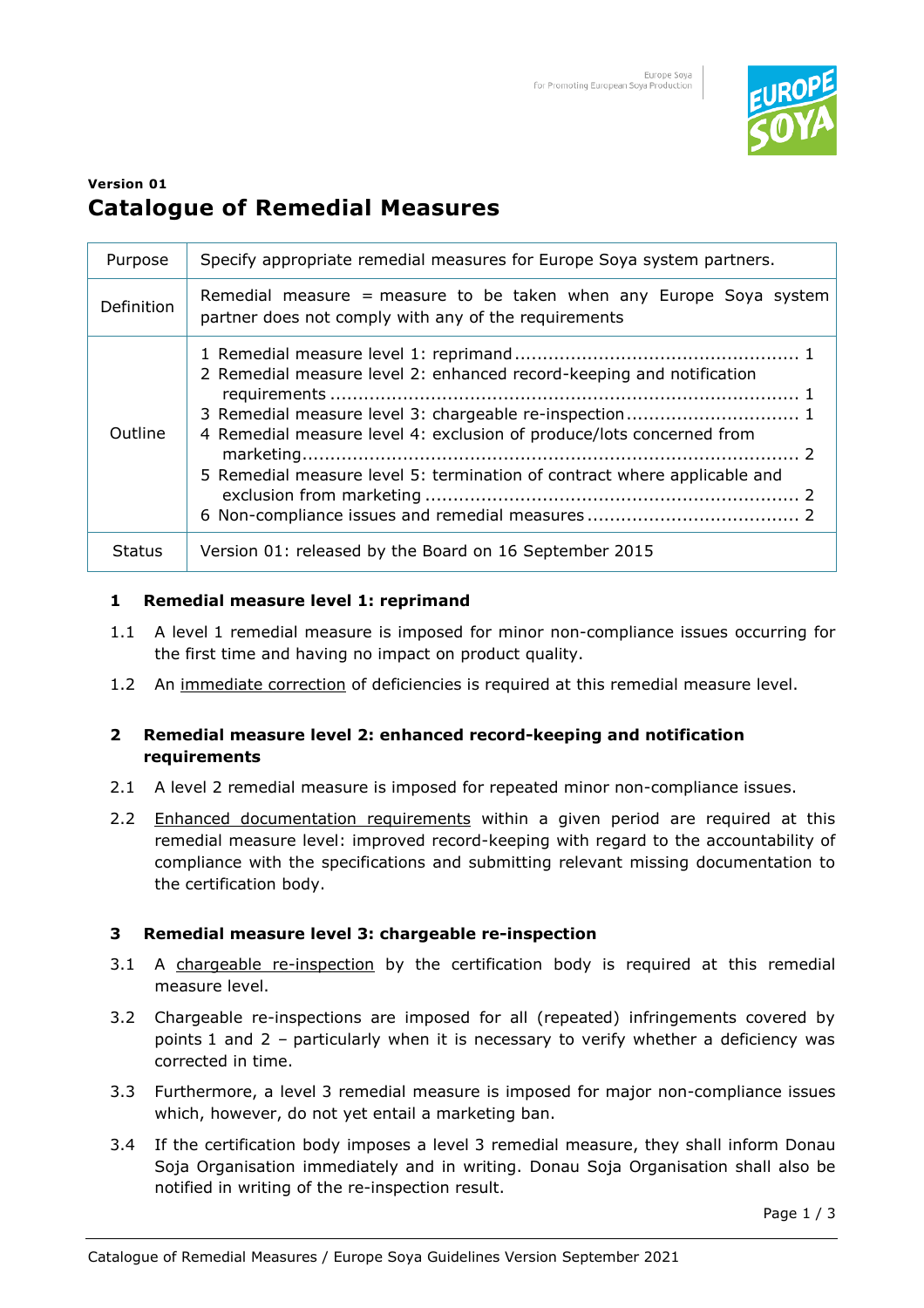

# **Version 01 Catalogue of Remedial Measures**

| Purpose       | Specify appropriate remedial measures for Europe Soya system partners.                                                                                                                                                                                                             |
|---------------|------------------------------------------------------------------------------------------------------------------------------------------------------------------------------------------------------------------------------------------------------------------------------------|
| Definition    | Remedial measure = measure to be taken when any Europe Soya system<br>partner does not comply with any of the requirements                                                                                                                                                         |
| Outline       | 2 Remedial measure level 2: enhanced record-keeping and notification<br>3 Remedial measure level 3: chargeable re-inspection 1<br>4 Remedial measure level 4: exclusion of produce/lots concerned from<br>5 Remedial measure level 5: termination of contract where applicable and |
| <b>Status</b> | Version 01: released by the Board on 16 September 2015                                                                                                                                                                                                                             |

### **1 Remedial measure level 1: reprimand**

- 1.1 A level 1 remedial measure is imposed for minor non-compliance issues occurring for the first time and having no impact on product quality.
- 1.2 An immediate correction of deficiencies is required at this remedial measure level.

### **2 Remedial measure level 2: enhanced record-keeping and notification requirements**

- 2.1 A level 2 remedial measure is imposed for repeated minor non-compliance issues.
- 2.2 Enhanced documentation requirements within a given period are required at this remedial measure level: improved record-keeping with regard to the accountability of compliance with the specifications and submitting relevant missing documentation to the certification body.

## **3 Remedial measure level 3: chargeable re-inspection**

- 3.1 A chargeable re-inspection by the certification body is required at this remedial measure level.
- 3.2 Chargeable re-inspections are imposed for all (repeated) infringements covered by points 1 and 2 – particularly when it is necessary to verify whether a deficiency was corrected in time.
- 3.3 Furthermore, a level 3 remedial measure is imposed for major non-compliance issues which, however, do not yet entail a marketing ban.
- 3.4 If the certification body imposes a level 3 remedial measure, they shall inform Donau Soja Organisation immediately and in writing. Donau Soja Organisation shall also be notified in writing of the re-inspection result.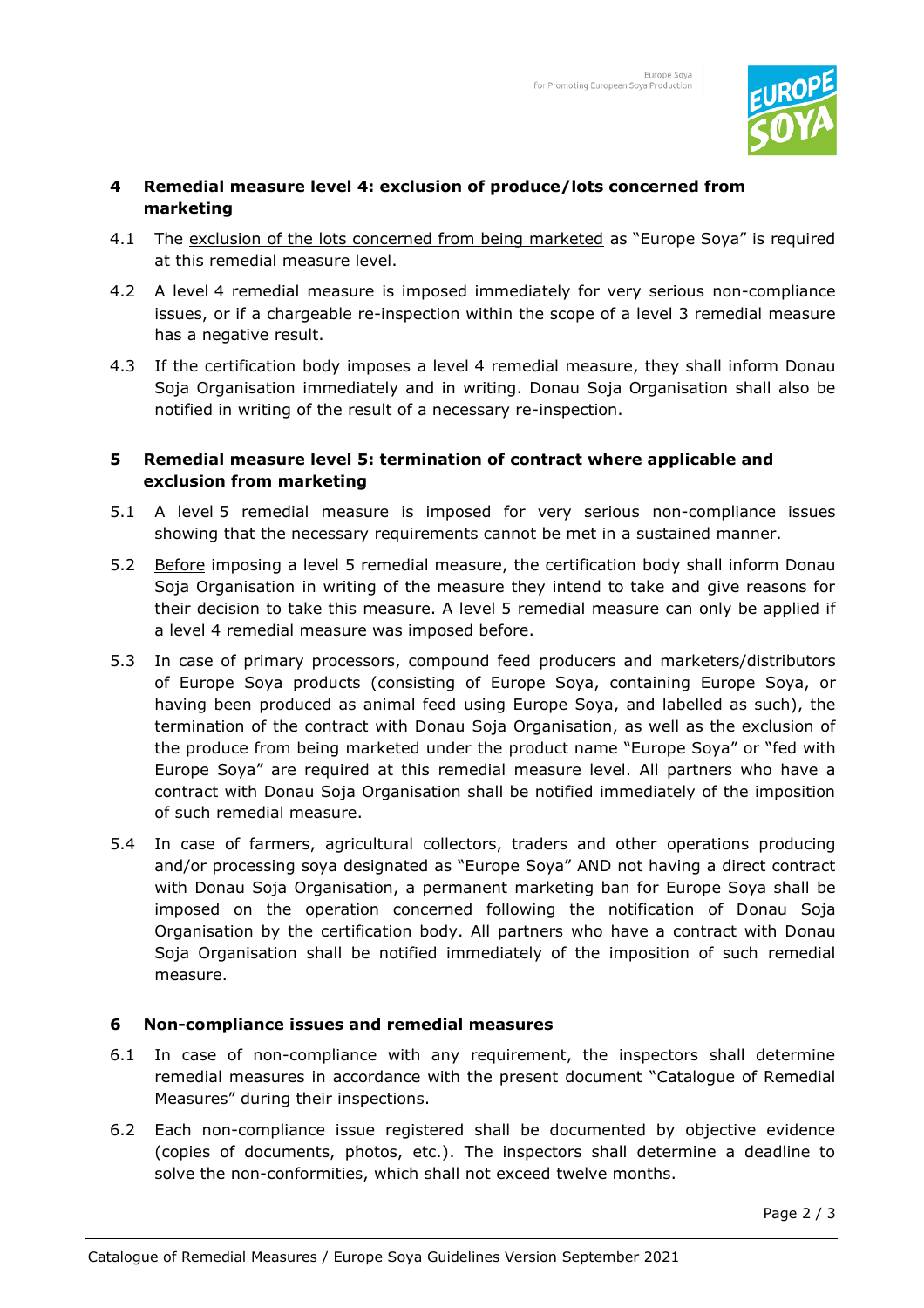

#### **4 Remedial measure level 4: exclusion of produce/lots concerned from marketing**

- 4.1 The exclusion of the lots concerned from being marketed as "Europe Soya" is required at this remedial measure level.
- 4.2 A level 4 remedial measure is imposed immediately for very serious non-compliance issues, or if a chargeable re-inspection within the scope of a level 3 remedial measure has a negative result.
- 4.3 If the certification body imposes a level 4 remedial measure, they shall inform Donau Soja Organisation immediately and in writing. Donau Soja Organisation shall also be notified in writing of the result of a necessary re-inspection.

## **5 Remedial measure level 5: termination of contract where applicable and exclusion from marketing**

- 5.1 A level 5 remedial measure is imposed for very serious non-compliance issues showing that the necessary requirements cannot be met in a sustained manner.
- 5.2 Before imposing a level 5 remedial measure, the certification body shall inform Donau Soja Organisation in writing of the measure they intend to take and give reasons for their decision to take this measure. A level 5 remedial measure can only be applied if a level 4 remedial measure was imposed before.
- 5.3 In case of primary processors, compound feed producers and marketers/distributors of Europe Soya products (consisting of Europe Soya, containing Europe Soya, or having been produced as animal feed using Europe Soya, and labelled as such), the termination of the contract with Donau Soja Organisation, as well as the exclusion of the produce from being marketed under the product name "Europe Soya" or "fed with Europe Soya" are required at this remedial measure level. All partners who have a contract with Donau Soja Organisation shall be notified immediately of the imposition of such remedial measure.
- 5.4 In case of farmers, agricultural collectors, traders and other operations producing and/or processing soya designated as "Europe Soya" AND not having a direct contract with Donau Soja Organisation, a permanent marketing ban for Europe Soya shall be imposed on the operation concerned following the notification of Donau Soja Organisation by the certification body. All partners who have a contract with Donau Soja Organisation shall be notified immediately of the imposition of such remedial measure.

## **6 Non-compliance issues and remedial measures**

- 6.1 In case of non-compliance with any requirement, the inspectors shall determine remedial measures in accordance with the present document "Catalogue of Remedial Measures" during their inspections.
- 6.2 Each non-compliance issue registered shall be documented by objective evidence (copies of documents, photos, etc.). The inspectors shall determine a deadline to solve the non-conformities, which shall not exceed twelve months.